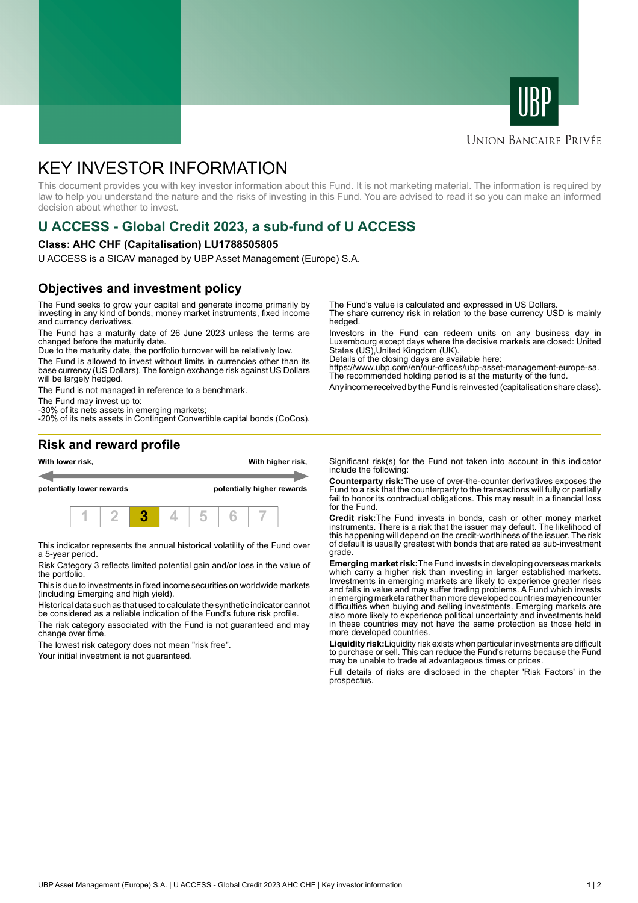



## **UNION BANCAIRE PRIVÉE**

# KEY INVESTOR INFORMATION

This document provides you with key investor information about this Fund. It is not marketing material. The information is required by law to help you understand the nature and the risks of investing in this Fund. You are advised to read it so you can make an informed decision about whether to invest.

# **U ACCESS - Global Credit 2023, a sub-fund of U ACCESS**

#### **Class: AHC CHF (Capitalisation) LU1788505805**

U ACCESS is a SICAV managed by UBP Asset Management (Europe) S.A.

# **Objectives and investment policy**

The Fund seeks to grow your capital and generate income primarily by investing in any kind of bonds, money market instruments, fixed income and currency derivatives.

The Fund has a maturity date of 26 June 2023 unless the terms are changed before the maturity date.

Due to the maturity date, the portfolio turnover will be relatively low.

The Fund is allowed to invest without limits in currencies other than its base currency (US Dollars). The foreign exchange risk against US Dollars will be largely hedged.

The Fund is not managed in reference to a benchmark.

The Fund may invest up to:

-30% of its nets assets in emerging markets; -20% of its nets assets in Contingent Convertible capital bonds (CoCos). The Fund's value is calculated and expressed in US Dollars.

The share currency risk in relation to the base currency USD is mainly hedged.

Investors in the Fund can redeem units on any business day in Luxembourg except days where the decisive markets are closed: United States (US),United Kingdom (UK).

Details of the closing days are available here:

https://www.ubp.com/en/our-offices/ubp-asset-management-europe-sa. The recommended holding period is at the maturity of the fund.

Any income received by the Fund is reinvested (capitalisation share class).

## **Risk and reward profile**



This indicator represents the annual historical volatility of the Fund over a 5-year period.

Risk Category 3 reflects limited potential gain and/or loss in the value of the portfolio.

This is due to investments in fixed income securities on worldwide markets (including Emerging and high yield).

Historical data such as that used to calculate the synthetic indicator cannot be considered as a reliable indication of the Fund's future risk profile.

The risk category associated with the Fund is not guaranteed and may change over time.

The lowest risk category does not mean "risk free".

Your initial investment is not guaranteed.

Significant risk(s) for the Fund not taken into account in this indicator include the following:

**Counterparty risk:**The use of over-the-counter derivatives exposes the Fund to a risk that the counterparty to the transactions will fully or partially fail to honor its contractual obligations. This may result in a financial loss for the Fund.

**Credit risk:**The Fund invests in bonds, cash or other money market instruments. There is a risk that the issuer may default. The likelihood of this happening will depend on the credit-worthiness of the issuer. The risk of default is usually greatest with bonds that are rated as sub-investment grade.

**Emerging market risk:**The Fund invests in developing overseas markets which carry a higher risk than investing in larger established markets. Investments in emerging markets are likely to experience greater rises and falls in value and may suffer trading problems. A Fund which invests in emerging markets rather than more developed countries may encounter difficulties when buying and selling investments. Emerging markets are also more likely to experience political uncertainty and investments held in these countries may not have the same protection as those held in more developed countries.

**Liquidity risk:**Liquidity risk exists when particular investments are difficult to purchase or sell. This can reduce the Fund's returns because the Fund may be unable to trade at advantageous times or prices

Full details of risks are disclosed in the chapter 'Risk Factors' in the prospectus.